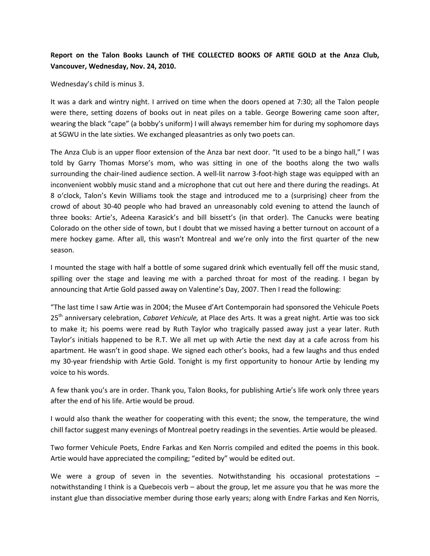## **Report on the Talon Books Launch of THE COLLECTED BOOKS OF ARTIE GOLD at the Anza Club, Vancouver, Wednesday, Nov. 24, 2010.**

## Wednesday's child is minus 3.

It was a dark and wintry night. I arrived on time when the doors opened at 7:30; all the Talon people were there, setting dozens of books out in neat piles on a table. George Bowering came soon after, wearing the black "cape" (a bobby's uniform) I will always remember him for during my sophomore days at SGWU in the late sixties. We exchanged pleasantries as only two poets can.

The Anza Club is an upper floor extension of the Anza bar next door. "It used to be a bingo hall," I was told by Garry Thomas Morse's mom, who was sitting in one of the booths along the two walls surrounding the chair-lined audience section. A well-lit narrow 3-foot-high stage was equipped with an inconvenient wobbly music stand and a microphone that cut out here and there during the readings. At 8 o'clock, Talon's Kevin Williams took the stage and introduced me to a (surprising) cheer from the crowd of about 30-40 people who had braved an unreasonably cold evening to attend the launch of three books: Artie's, Adeena Karasick's and bill bissett's (in that order). The Canucks were beating Colorado on the other side of town, but I doubt that we missed having a better turnout on account of a mere hockey game. After all, this wasn't Montreal and we're only into the first quarter of the new season.

I mounted the stage with half a bottle of some sugared drink which eventually fell off the music stand, spilling over the stage and leaving me with a parched throat for most of the reading. I began by announcing that Artie Gold passed away on Valentine's Day, 2007. Then I read the following:

"The last time I saw Artie was in 2004; the Musee d'Art Contemporain had sponsored the Vehicule Poets 25th anniversary celebration, *Cabaret Vehicule,* at Place des Arts. It was a great night. Artie was too sick to make it; his poems were read by Ruth Taylor who tragically passed away just a year later. Ruth Taylor's initials happened to be R.T. We all met up with Artie the next day at a cafe across from his apartment. He wasn't in good shape. We signed each other's books, had a few laughs and thus ended my 30-year friendship with Artie Gold. Tonight is my first opportunity to honour Artie by lending my voice to his words.

A few thank you's are in order. Thank you, Talon Books, for publishing Artie's life work only three years after the end of his life. Artie would be proud.

I would also thank the weather for cooperating with this event; the snow, the temperature, the wind chill factor suggest many evenings of Montreal poetry readings in the seventies. Artie would be pleased.

Two former Vehicule Poets, Endre Farkas and Ken Norris compiled and edited the poems in this book. Artie would have appreciated the compiling; "edited by" would be edited out.

We were a group of seven in the seventies. Notwithstanding his occasional protestations – notwithstanding I think is a Quebecois verb – about the group, let me assure you that he was more the instant glue than dissociative member during those early years; along with Endre Farkas and Ken Norris,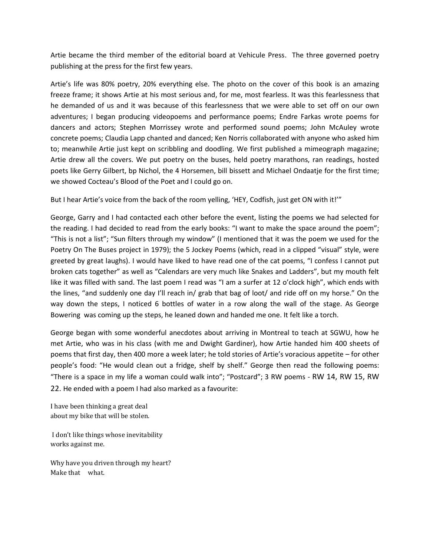Artie became the third member of the editorial board at Vehicule Press. The three governed poetry publishing at the press for the first few years.

Artie's life was 80% poetry, 20% everything else. The photo on the cover of this book is an amazing freeze frame; it shows Artie at his most serious and, for me, most fearless. It was this fearlessness that he demanded of us and it was because of this fearlessness that we were able to set off on our own adventures; I began producing videopoems and performance poems; Endre Farkas wrote poems for dancers and actors; Stephen Morrissey wrote and performed sound poems; John McAuley wrote concrete poems; Claudia Lapp chanted and danced; Ken Norris collaborated with anyone who asked him to; meanwhile Artie just kept on scribbling and doodling. We first published a mimeograph magazine; Artie drew all the covers. We put poetry on the buses, held poetry marathons, ran readings, hosted poets like Gerry Gilbert, bp Nichol, the 4 Horsemen, bill bissett and Michael Ondaatje for the first time; we showed Cocteau's Blood of the Poet and I could go on.

But I hear Artie's voice from the back of the room yelling, 'HEY, Codfish, just get ON with it!'"

George, Garry and I had contacted each other before the event, listing the poems we had selected for the reading. I had decided to read from the early books: "I want to make the space around the poem"; "This is not a list"; "Sun filters through my window" (I mentioned that it was the poem we used for the Poetry On The Buses project in 1979); the 5 Jockey Poems (which, read in a clipped "visual" style, were greeted by great laughs). I would have liked to have read one of the cat poems, "I confess I cannot put broken cats together" as well as "Calendars are very much like Snakes and Ladders", but my mouth felt like it was filled with sand. The last poem I read was "I am a surfer at 12 o'clock high", which ends with the lines, "and suddenly one day I'll reach in/ grab that bag of loot/ and ride off on my horse." On the way down the steps, I noticed 6 bottles of water in a row along the wall of the stage. As George Bowering was coming up the steps, he leaned down and handed me one. It felt like a torch.

George began with some wonderful anecdotes about arriving in Montreal to teach at SGWU, how he met Artie, who was in his class (with me and Dwight Gardiner), how Artie handed him 400 sheets of poems that first day, then 400 more a week later; he told stories of Artie's voracious appetite – for other people's food: "He would clean out a fridge, shelf by shelf." George then read the following poems: "There is a space in my life a woman could walk into"; "Postcard"; 3 RW poems - RW 14, RW 15, RW 22. He ended with a poem I had also marked as a favourite:

I have been thinking a great deal about my bike that will be stolen.

I don't like things whose inevitability works against me.

Why have you driven through my heart? Make that what.